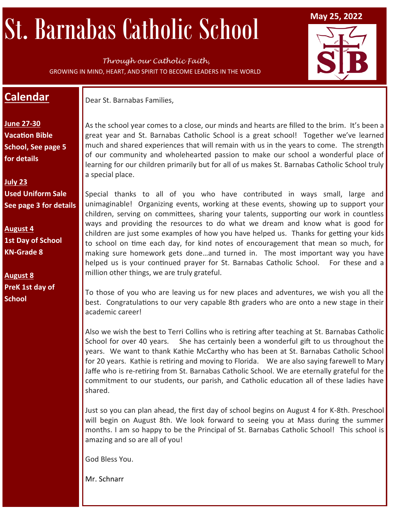# St. Barnabas Catholic School May 25, 2022

*Through our Catholic Faith,*  GROWING IN MIND, HEART, AND SPIRIT TO BECOME LEADERS IN THE WORLD



## **Calendar**

Dear St. Barnabas Families,

**June 27-30 Vacation Bible School, See page 5 for details** 

**July 23 Used Uniform Sale See page 3 for details**

**August 4 1st Day of School KN-Grade 8**

**August 8 PreK 1st day of School** 

As the school year comes to a close, our minds and hearts are filled to the brim. It's been a great year and St. Barnabas Catholic School is a great school! Together we've learned much and shared experiences that will remain with us in the years to come. The strength of our community and wholehearted passion to make our school a wonderful place of learning for our children primarily but for all of us makes St. Barnabas Catholic School truly a special place.

Special thanks to all of you who have contributed in ways small, large and unimaginable! Organizing events, working at these events, showing up to support your children, serving on committees, sharing your talents, supporting our work in countless ways and providing the resources to do what we dream and know what is good for children are just some examples of how you have helped us. Thanks for getting your kids to school on time each day, for kind notes of encouragement that mean so much, for making sure homework gets done…and turned in. The most important way you have helped us is your continued prayer for St. Barnabas Catholic School. For these and a million other things, we are truly grateful.

To those of you who are leaving us for new places and adventures, we wish you all the best. Congratulations to our very capable 8th graders who are onto a new stage in their academic career!

Also we wish the best to Terri Collins who is retiring after teaching at St. Barnabas Catholic School for over 40 years. She has certainly been a wonderful gift to us throughout the years. We want to thank Kathie McCarthy who has been at St. Barnabas Catholic School for 20 years. Kathie is retiring and moving to Florida. We are also saying farewell to Mary Jaffe who is re-retiring from St. Barnabas Catholic School. We are eternally grateful for the commitment to our students, our parish, and Catholic education all of these ladies have shared.

Just so you can plan ahead, the first day of school begins on August 4 for K-8th. Preschool will begin on August 8th. We look forward to seeing you at Mass during the summer months. I am so happy to be the Principal of St. Barnabas Catholic School! This school is amazing and so are all of you!

God Bless You.

Mr. Schnarr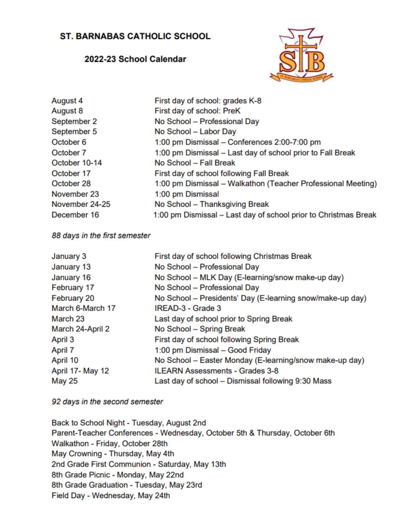## **ST. BARNABAS CATHOLIC SCHOOL**

#### 2022-23 School Calendar



| August 4       | First day of school: grades K-8                                 |
|----------------|-----------------------------------------------------------------|
| August 8       | First day of school: PreK                                       |
| September 2    | No School - Professional Day                                    |
| September 5    | No School - Labor Day                                           |
| October 6      | 1:00 pm Dismissal - Conferences 2:00-7:00 pm                    |
| October 7      | 1:00 pm Dismissal - Last day of school prior to Fall Break      |
| October 10-14  | No School - Fall Break                                          |
| October 17     | First day of school following Fall Break                        |
| October 28     | 1:00 pm Dismissal - Walkathon (Teacher Professional Meeting)    |
| November 23    | 1:00 pm Dismissal                                               |
| November 24-25 | No School - Thanksgiving Break                                  |
| December 16    | 1:00 pm Dismissal - Last day of school prior to Christmas Break |
|                |                                                                 |

#### 88 days in the first semester

| January 3        | First day of school following Christmas Break             |
|------------------|-----------------------------------------------------------|
| January 13       | No School - Professional Day                              |
| January 16       | No School - MLK Day (E-learning/snow make-up day)         |
| February 17      | No School - Professional Day                              |
| February 20      | No School - Presidents' Day (E-learning snow/make-up day) |
| March 6-March 17 | IREAD-3 - Grade 3                                         |
| March 23         | Last day of school prior to Spring Break                  |
| March 24-April 2 | No School - Spring Break                                  |
| April 3          | First day of school following Spring Break                |
| April 7          | 1:00 pm Dismissal - Good Friday                           |
| April 10         | No School - Easter Monday (E-learning/snow make-up day)   |
| April 17- May 12 | <b>ILEARN Assessments - Grades 3-8</b>                    |
| <b>May 25</b>    | Last day of school - Dismissal following 9:30 Mass        |

92 days in the second semester

Back to School Night - Tuesday, August 2nd Parent-Teacher Conferences - Wednesday, October 5th & Thursday, October 6th Walkathon - Friday, October 28th May Crowning - Thursday, May 4th 2nd Grade First Communion - Saturday, May 13th 8th Grade Picnic - Monday, May 22nd 8th Grade Graduation - Tuesday, May 23rd Field Day - Wednesday, May 24th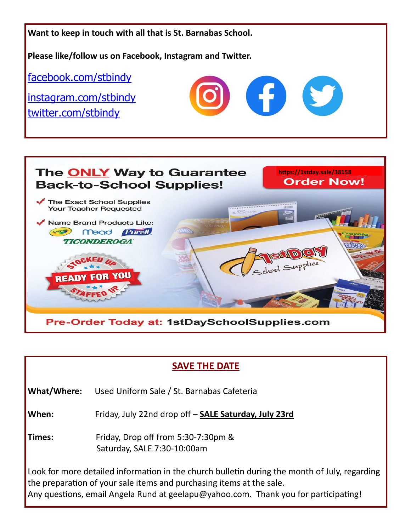



## **SAVE THE DATE**

**What/Where:** Used Uniform Sale / St. Barnabas Cafeteria

**When:** Friday, July 22nd drop off – **SALE Saturday, July 23rd**

**Times:** Friday, Drop off from 5:30-7:30pm & Saturday, SALE 7:30-10:00am

Look for more detailed information in the church bulletin during the month of July, regarding the preparation of your sale items and purchasing items at the sale. Any questions, email Angela Rund at geelapu@yahoo.com. Thank you for participating!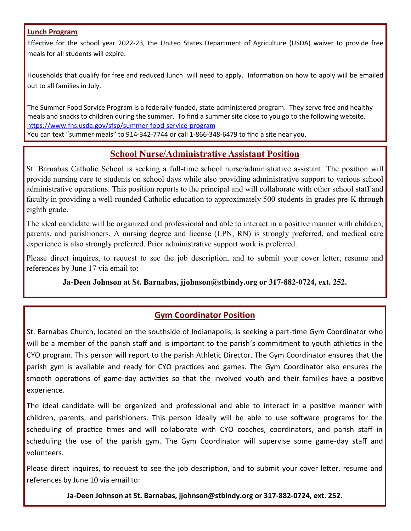#### **Lunch Program**

Effective for the school year 2022-23, the United States Department of Agriculture (USDA) waiver to provide free meals for all students will expire.

Households that qualify for free and reduced lunch will need to apply. Information on how to apply will be emailed out to all families in July.

The Summer Food Service Program is a federally-funded, state-administered program. They serve free and healthy meals and snacks to children during the summer. To find a summer site close to you go to the following website. [https://www.fns.usda.gov/sfsp/summer](https://www.fns.usda.gov/sfsp/summer-food-service-program)-food-service-program You can text "summer meals" to 914-342-7744 or call 1-866-348-6479 to find a site near you.

## **School Nurse/Administrative Assistant Position**

St. Barnabas Catholic School is seeking a full-time school nurse/administrative assistant. The position will provide nursing care to students on school days while also providing administrative support to various school administrative operations. This position reports to the principal and will collaborate with other school staff and faculty in providing a well-rounded Catholic education to approximately 500 students in grades pre-K through eighth grade.

The ideal candidate will be organized and professional and able to interact in a positive manner with children, parents, and parishioners. A nursing degree and license (LPN, RN) is strongly preferred, and medical care experience is also strongly preferred. Prior administrative support work is preferred.

Please direct inquires, to request to see the job description, and to submit your cover letter, resume and references by June 17 via email to:

**Ja-Deen Johnson at St. Barnabas, jjohnson@stbindy.org or 317-882-0724, ext. 252.**

### **Gym Coordinator Position**

St. Barnabas Church, located on the southside of Indianapolis, is seeking a part-time Gym Coordinator who will be a member of the parish staff and is important to the parish's commitment to youth athletics in the CYO program. This person will report to the parish Athletic Director. The Gym Coordinator ensures that the parish gym is available and ready for CYO practices and games. The Gym Coordinator also ensures the smooth operations of game-day activities so that the involved youth and their families have a positive experience.

The ideal candidate will be organized and professional and able to interact in a positive manner with children, parents, and parishioners. This person ideally will be able to use software programs for the scheduling of practice times and will collaborate with CYO coaches, coordinators, and parish staff in scheduling the use of the parish gym. The Gym Coordinator will supervise some game-day staff and volunteers.

Please direct inquires, to request to see the job description, and to submit your cover letter, resume and references by June 10 via email to:

**Ja-Deen Johnson at St. Barnabas, jjohnson@stbindy.org or 317-882-0724, ext. 252.**